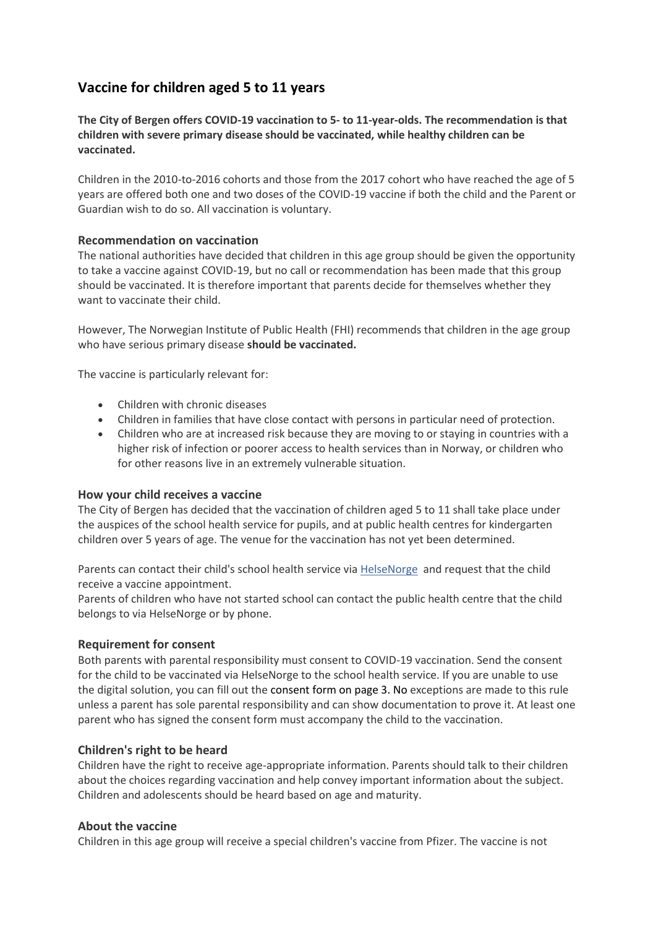# **Vaccine for children aged 5 to 11 years**

**The City of Bergen offers COVID-19 vaccination to 5- to 11-year-olds. The recommendation is that children with severe primary disease should be vaccinated, while healthy children can be vaccinated.**

Children in the 2010-to-2016 cohorts and those from the 2017 cohort who have reached the age of 5 years are offered both one and two doses of the COVID-19 vaccine if both the child and the Parent or Guardian wish to do so. All vaccination is voluntary.

### **Recommendation on vaccination**

The national authorities have decided that children in this age group should be given the opportunity to take a vaccine against COVID-19, but no call or recommendation has been made that this group should be vaccinated. It is therefore important that parents decide for themselves whether they want to vaccinate their child.

However, The Norwegian Institute of Public Health (FHI) recommends that children in the age group who have serious primary disease **should be vaccinated.**

The vaccine is particularly relevant for:

- Children with chronic diseases
- Children in families that have close contact with persons in particular need of protection.
- Children who are at increased risk because they are moving to or staying in countries with a higher risk of infection or poorer access to health services than in Norway, or children who for other reasons live in an extremely vulnerable situation.

#### **How your child receives a vaccine**

The City of Bergen has decided that the vaccination of children aged 5 to 11 shall take place under the auspices of the school health service for pupils, and at public health centres for kindergarten children over 5 years of age. The venue for the vaccination has not yet been determined.

Parents can contact their child's school health service via **HelseNorge** and request that the child receive a vaccine appointment.

Parents of children who have not started school can contact the public health centre that the child belongs to via HelseNorge or by phone.

#### **Requirement for consent**

Both parents with parental responsibility must consent to COVID-19 vaccination. Send the consent for the child to be vaccinated via HelseNorge to the school health service. If you are unable to use the digital solution, you can fill out the consent form on page 3. No exceptions are made to this rule unless a parent has sole parental responsibility and can show documentation to prove it. At least one parent who has signed the consent form must accompany the child to the vaccination.

### **Children's right to be heard**

Children have the right to receive age-appropriate information. Parents should talk to their children about the choices regarding vaccination and help convey important information about the subject. Children and adolescents should be heard based on age and maturity.

#### **About the vaccine**

Children in this age group will receive a special children's vaccine from Pfizer. The vaccine is not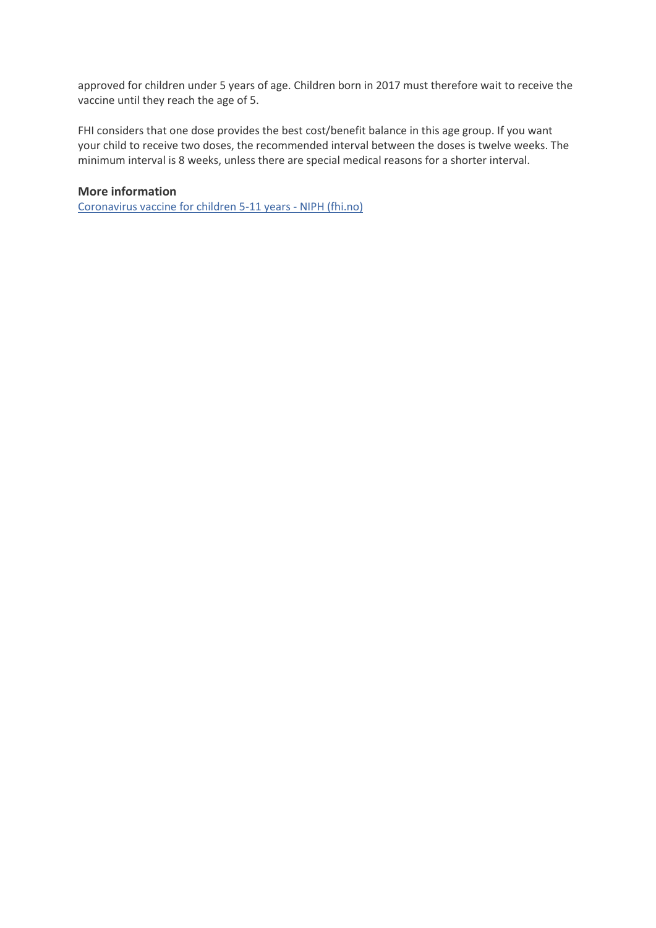approved for children under 5 years of age. Children born in 2017 must therefore wait to receive the vaccine until they reach the age of 5.

FHI considers that one dose provides the best cost/benefit balance in this age group. If you want your child to receive two doses, the recommended interval between the doses is twelve weeks. The minimum interval is 8 weeks, unless there are special medical reasons for a shorter interval.

#### **More information**

[Coronavirus vaccine for children 5-11 years -](https://www.fhi.no/en/publ/information-letters/coronavirus-vaccine-for-children-5-11-years/) NIPH (fhi.no)